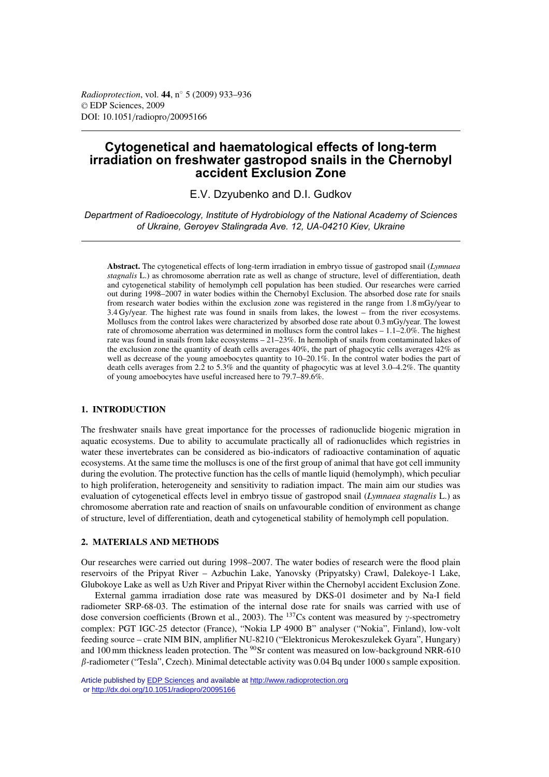*Radioprotection*, vol. **44**, n◦ 5 (2009) 933–936 © EDP Sciences, 2009 DOI: 10.1051/radiopro/20095166

# **Cytogenetical and haematological effects of long-term irradiation on freshwater gastropod snails in the Chernobyl accident Exclusion Zone**

E.V. Dzyubenko and D.I. Gudkov

*Department of Radioecology, Institute of Hydrobiology of the National Academy of Sciences of Ukraine, Geroyev Stalingrada Ave. 12, UA-04210 Kiev, Ukraine*

**Abstract.** The cytogenetical effects of long-term irradiation in embryo tissue of gastropod snail (*Lymnaea stagnalis* L.) as chromosome aberration rate as well as change of structure, level of differentiation, death and cytogenetical stability of hemolymph cell population has been studied. Our researches were carried out during 1998–2007 in water bodies within the Chernobyl Exclusion. The absorbed dose rate for snails from research water bodies within the exclusion zone was registered in the range from 1.8 mGy/year to 3.4 Gy/year. The highest rate was found in snails from lakes, the lowest – from the river ecosystems. Molluscs from the control lakes were characterized by absorbed dose rate about 0.3 mGy/year. The lowest rate of chromosome aberration was determined in molluscs form the control lakes – 1.1–2.0%. The highest rate was found in snails from lake ecosystems – 21–23%. In hemoliph of snails from contaminated lakes of the exclusion zone the quantity of death cells averages 40%, the part of phagocytic cells averages 42% as well as decrease of the young amoebocytes quantity to 10–20.1%. In the control water bodies the part of death cells averages from 2.2 to 5.3% and the quantity of phagocytic was at level 3.0–4.2%. The quantity of young amoebocytes have useful increased here to 79.7–89.6%.

## **1. INTRODUCTION**

The freshwater snails have great importance for the processes of radionuclide biogenic migration in aquatic ecosystems. Due to ability to accumulate practically all of radionuclides which registries in water these invertebrates can be considered as bio-indicators of radioactive contamination of aquatic ecosystems. At the same time the molluscs is one of the first group of animal that have got cell immunity during the evolution. The protective function has the cells of mantle liquid (hemolymph), which peculiar to high proliferation, heterogeneity and sensitivity to radiation impact. The main aim our studies was evaluation of cytogenetical effects level in embryo tissue of gastropod snail (*Lymnaea stagnalis* L.) as chromosome aberration rate and reaction of snails on unfavourable condition of environment as change of structure, level of differentiation, death and cytogenetical stability of hemolymph cell population.

## **2. MATERIALS AND METHODS**

Our researches were carried out during 1998–2007. The water bodies of research were the flood plain reservoirs of the Pripyat River – Azbuchin Lake, Yanovsky (Pripyatsky) Crawl, Dalekoye-1 Lake, Glubokoye Lake as well as Uzh River and Pripyat River within the Chernobyl accident Exclusion Zone.

External gamma irradiation dose rate was measured by DKS-01 dosimeter and by Na-I field radiometer SRP-68-03. The estimation of the internal dose rate for snails was carried with use of dose conversion coefficients (Brown et al., 2003). The  $^{137}Cs$  content was measured by  $\gamma$ -spectrometry complex: PGT IGC-25 detector (France), "Nokia LP 4900 B" analyser ("Nokia", Finland), low-volt feeding source – crate NIM BIN, amplifier NU-8210 ("Elektronicus Merokeszulekek Gyara", Hungary) and 100 mm thickness leaden protection. The <sup>90</sup>Sr content was measured on low-background NRR-610  $\beta$ -radiometer ("Tesla", Czech). Minimal detectable activity was 0.04 Bq under 1000 s sample exposition.

Article published by [EDP Sciences](http://www.edpsciences.org) and available at<http://www.radioprotection.org> or <http://dx.doi.org/10.1051/radiopro/20095166>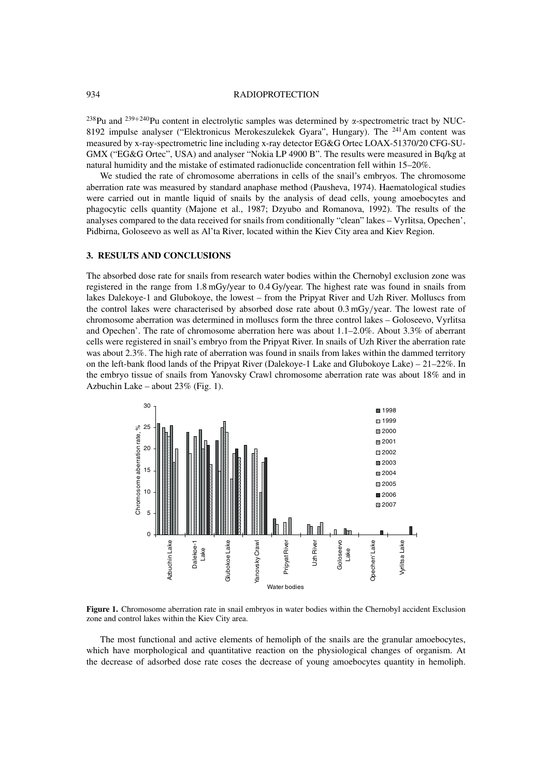#### 934 RADIOPROTECTION

 $^{238}$ Pu and  $^{239+240}$ Pu content in electrolytic samples was determined by  $\alpha$ -spectrometric tract by NUC-8192 impulse analyser ("Elektronicus Merokeszulekek Gyara", Hungary). The  $^{241}$ Am content was measured by x-ray-spectrometric line including x-ray detector EG&G Ortec LOAX-51370/20 CFG-SU-GMX ("EG&G Ortec", USA) and analyser "Nokia LP 4900 B". The results were measured in Bq/kg at natural humidity and the mistake of estimated radionuclide concentration fell within 15–20%.

We studied the rate of chromosome aberrations in cells of the snail's embryos. The chromosome aberration rate was measured by standard anaphase method (Pausheva, 1974). Haematological studies were carried out in mantle liquid of snails by the analysis of dead cells, young amoebocytes and phagocytic cells quantity (Majone et al., 1987; Dzyubo and Romanova, 1992). The results of the analyses compared to the data received for snails from conditionally "clean" lakes – Vyrlitsa, Opechen', Pidbirna, Goloseevo as well as Al'ta River, located within the Kiev City area and Kiev Region.

#### **3. RESULTS AND CONCLUSIONS**

The absorbed dose rate for snails from research water bodies within the Chernobyl exclusion zone was registered in the range from 1.8 mGy/year to 0.4 Gy/year. The highest rate was found in snails from lakes Dalekoye-1 and Glubokoye, the lowest – from the Pripyat River and Uzh River. Molluscs from the control lakes were characterised by absorbed dose rate about 0.3 mGy/year. The lowest rate of chromosome aberration was determined in molluscs form the three control lakes – Goloseevo, Vyrlitsa and Opechen'. The rate of chromosome aberration here was about 1.1–2.0%. About 3.3% of aberrant cells were registered in snail's embryo from the Pripyat River. In snails of Uzh River the aberration rate was about 2.3%. The high rate of aberration was found in snails from lakes within the dammed territory on the left-bank flood lands of the Pripyat River (Dalekoye-1 Lake and Glubokoye Lake) – 21–22%. In the embryo tissue of snails from Yanovsky Crawl chromosome aberration rate was about 18% and in Azbuchin Lake – about 23% (Fig. 1).



**Figure 1.** Chromosome aberration rate in snail embryos in water bodies within the Chernobyl accident Exclusion zone and control lakes within the Kiev City area.

The most functional and active elements of hemoliph of the snails are the granular amoebocytes, which have morphological and quantitative reaction on the physiological changes of organism. At the decrease of adsorbed dose rate coses the decrease of young amoebocytes quantity in hemoliph.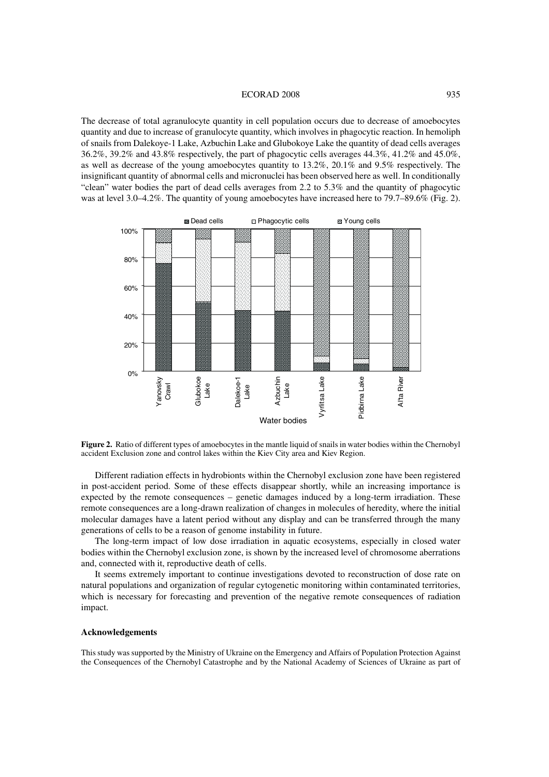#### ECORAD 2008 935

The decrease of total agranulocyte quantity in cell population occurs due to decrease of amoebocytes quantity and due to increase of granulocyte quantity, which involves in phagocytic reaction. In hemoliph of snails from Dalekoye-1 Lake, Azbuchin Lake and Glubokoye Lake the quantity of dead cells averages 36.2%, 39.2% and 43.8% respectively, the part of phagocytic cells averages 44.3%, 41.2% and 45.0%, as well as decrease of the young amoebocytes quantity to 13.2%, 20.1% and 9.5% respectively. The insignificant quantity of abnormal cells and micronuclei has been observed here as well. In conditionally "clean" water bodies the part of dead cells averages from 2.2 to 5.3% and the quantity of phagocytic was at level 3.0–4.2%. The quantity of young amoebocytes have increased here to 79.7–89.6% (Fig. 2).



**Figure 2.** Ratio of different types of amoebocytes in the mantle liquid of snails in water bodies within the Chernobyl accident Exclusion zone and control lakes within the Kiev City area and Kiev Region.

Different radiation effects in hydrobionts within the Chernobyl exclusion zone have been registered in post-accident period. Some of these effects disappear shortly, while an increasing importance is expected by the remote consequences – genetic damages induced by a long-term irradiation. These remote consequences are a long-drawn realization of changes in molecules of heredity, where the initial molecular damages have a latent period without any display and can be transferred through the many generations of cells to be a reason of genome instability in future.

The long-term impact of low dose irradiation in aquatic ecosystems, especially in closed water bodies within the Chernobyl exclusion zone, is shown by the increased level of chromosome aberrations and, connected with it, reproductive death of cells.

It seems extremely important to continue investigations devoted to reconstruction of dose rate on natural populations and organization of regular cytogenetic monitoring within contaminated territories, which is necessary for forecasting and prevention of the negative remote consequences of radiation impact.

## **Acknowledgements**

This study was supported by the Ministry of Ukraine on the Emergency and Affairs of Population Protection Against the Consequences of the Chernobyl Catastrophe and by the National Academy of Sciences of Ukraine as part of